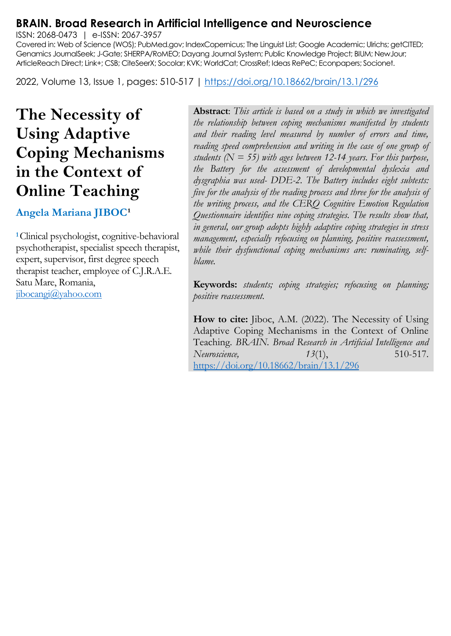# **BRAIN. Broad Research in Artificial Intelligence and Neuroscience**

ISSN: 2068-0473 | e-ISSN: 2067-3957

Covered in: Web of Science (WOS); PubMed.gov; IndexCopernicus; The Linguist List; Google Academic; Ulrichs; getCITED; Genamics JournalSeek; J-Gate; SHERPA/RoMEO; Dayang Journal System; Public Knowledge Project; BIUM; NewJour; ArticleReach Direct; Link+; CSB; CiteSeerX; Socolar; KVK; WorldCat; CrossRef; Ideas RePeC; Econpapers; Socionet.

2022, Volume 13, Issue 1, pages: 510-517 |<https://doi.org/10.18662/brain/13.1/296>

# **The Necessity of Using Adaptive Coping Mechanisms in the Context of Online Teaching**

**Angela Mariana JIBOC<sup>1</sup>** 

**<sup>1</sup>**Clinical psychologist, cognitive-behavioral psychotherapist, specialist speech therapist, expert, supervisor, first degree speech therapist teacher, employee of C.J.R.A.E. Satu Mare, Romania, [jibocangi@yahoo.com](mailto:jibocangi@yahoo.com)

**Abstract**: *This article is based on a study in which we investigated the relationship between coping mechanisms manifested by students and their reading level measured by number of errors and time, reading speed comprehension and writing in the case of one group of students* ( $N = 55$ ) with ages between 12-14 years. For this purpose, *the Battery for the assessment of developmental dyslexia and dysgraphia was used- DDE-2. The Battery includes eight subtests: five for the analysis of the reading process and three for the analysis of the writing process, and the CERQ Cognitive Emotion Regulation Questionnaire identifies nine coping strategies. The results show that, in general, our group adopts highly adaptive coping strategies in stress management, especially refocusing on planning, positive reassessment, while their dysfunctional coping mechanisms are: ruminating, selfblame.*

**Keywords:** *students; coping strategies; refocusing on planning; positive reassessment.*

**How to cite:** Jiboc, A.M. (2022). The Necessity of Using Adaptive Coping Mechanisms in the Context of Online Teaching. *BRAIN. Broad Research in Artificial Intelligence and Neuroscience, 13*(1), 510-517. <https://doi.org/10.18662/brain/13.1/296>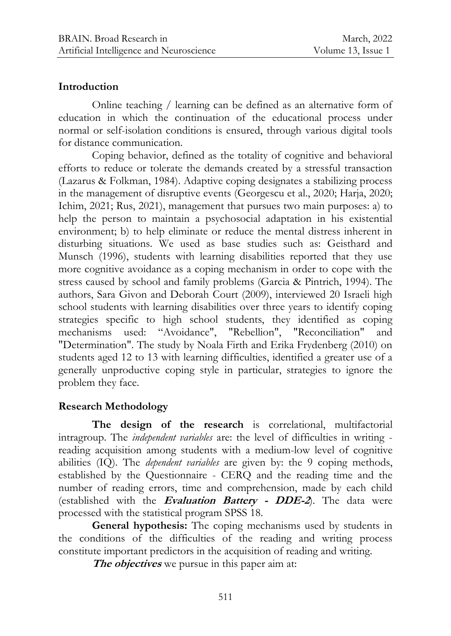#### **Introduction**

Online teaching / learning can be defined as an alternative form of education in which the continuation of the educational process under normal or self-isolation conditions is ensured, through various digital tools for distance communication.

Coping behavior, defined as the totality of cognitive and behavioral efforts to reduce or tolerate the demands created by a stressful transaction (Lazarus & Folkman, 1984). Adaptive coping designates a stabilizing process in the management of disruptive events (Georgescu et al., 2020; Harja, 2020; Ichim, 2021; Rus, 2021), management that pursues two main purposes: a) to help the person to maintain a psychosocial adaptation in his existential environment; b) to help eliminate or reduce the mental distress inherent in disturbing situations. We used as base studies such as: Geisthard and Munsch (1996), students with learning disabilities reported that they use more cognitive avoidance as a coping mechanism in order to cope with the stress caused by school and family problems (Garcia & Pintrich, 1994). The authors, Sara Givon and Deborah Court (2009), interviewed 20 Israeli high school students with learning disabilities over three years to identify coping strategies specific to high school students, they identified as coping mechanisms used: "Avoidance", "Rebellion", "Reconciliation" and "Determination". The study by Noala Firth and Erika Frydenberg (2010) on students aged 12 to 13 with learning difficulties, identified a greater use of a generally unproductive coping style in particular, strategies to ignore the problem they face.

## **Research Methodology**

**The design of the research** is correlational, multifactorial intragroup. The *independent variables* are: the level of difficulties in writing reading acquisition among students with a medium-low level of cognitive abilities (IQ). The *dependent variables* are given by: the 9 coping methods, established by the Questionnaire - CERQ and the reading time and the number of reading errors, time and comprehension, made by each child (established with the **Evaluation Battery - DDE-2**). The data were processed with the statistical program SPSS 18.

**General hypothesis:** The coping mechanisms used by students in the conditions of the difficulties of the reading and writing process constitute important predictors in the acquisition of reading and writing.

**The objectives** we pursue in this paper aim at: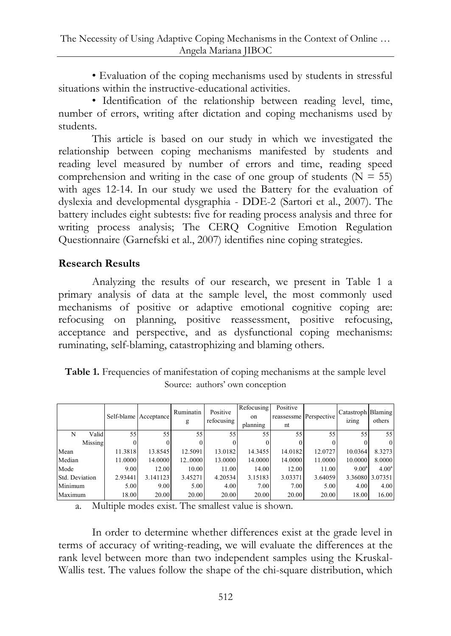• Evaluation of the coping mechanisms used by students in stressful situations within the instructive-educational activities.

• Identification of the relationship between reading level, time, number of errors, writing after dictation and coping mechanisms used by students.

This article is based on our study in which we investigated the relationship between coping mechanisms manifested by students and reading level measured by number of errors and time, reading speed comprehension and writing in the case of one group of students ( $N = 55$ ) with ages 12-14. In our study we used the Battery for the evaluation of dyslexia and developmental dysgraphia - DDE-2 (Sartori et al., 2007). The battery includes eight subtests: five for reading process analysis and three for writing process analysis; The CERQ Cognitive Emotion Regulation Questionnaire (Garnefski et al., 2007) identifies nine coping strategies.

## **Research Results**

Analyzing the results of our research, we present in Table 1 a primary analysis of data at the sample level, the most commonly used mechanisms of positive or adaptive emotional cognitive coping are: refocusing on planning, positive reassessment, positive refocusing, acceptance and perspective, and as dysfunctional coping mechanisms: ruminating, self-blaming, catastrophizing and blaming others.

| Table 1. Frequencies of manifestation of coping mechanisms at the sample level |                                 |  |
|--------------------------------------------------------------------------------|---------------------------------|--|
|                                                                                | Source: authors' own conception |  |

|                |         |         | Self-blame Acceptance | Ruminatin<br>g | Positive<br>refocusing | Refocusing<br>on<br>planning | Positive<br>reassessme<br>nt | Perspective | Catastroph Blaming<br>izing | others            |
|----------------|---------|---------|-----------------------|----------------|------------------------|------------------------------|------------------------------|-------------|-----------------------------|-------------------|
| N              | Valid   | 55      | 55                    | 55             | 55                     | 55                           | 55                           | 55          | 55                          | 55                |
|                | Missing |         |                       |                |                        |                              |                              |             |                             | $\theta$          |
| Mean           |         | 11.3818 | 13.8545               | 12.5091        | 13.0182                | 14.3455                      | 14.0182                      | 12.0727     | 10.0364                     | 8.3273            |
| Median         |         | 11.0000 | 14.0000               | 120000         | 13.0000                | 14.0000                      | 14.0000                      | 11.0000     | 10.0000                     | 8.0000            |
| Mode           |         | 9.00    | 12.00                 | 10.00          | 11.00                  | 14.00                        | 12.00                        | 11.00       | $9.00^{\rm a}$              | 4.00 <sup>a</sup> |
| Std. Deviation |         | 2.93441 | 3.141123              | 3.45271        | 4.20534                | 3.15183                      | 3.03371                      | 3.64059     |                             | 3.36080 3.07351   |
| Minimum        |         | 5.00    | 9.00                  | 5.00           | 4.00                   | 7.00                         | 7.00                         | 5.00        | 4.00                        | 4.00              |
| Maximum        |         | 18.00   | 20.00                 | 20.00          | 20.00                  | 20.00                        | 20.00                        | 20.00       | 18.00                       | 16.00             |

a. Multiple modes exist. The smallest value is shown.

In order to determine whether differences exist at the grade level in terms of accuracy of writing-reading, we will evaluate the differences at the rank level between more than two independent samples using the Kruskal-Wallis test. The values follow the shape of the chi-square distribution, which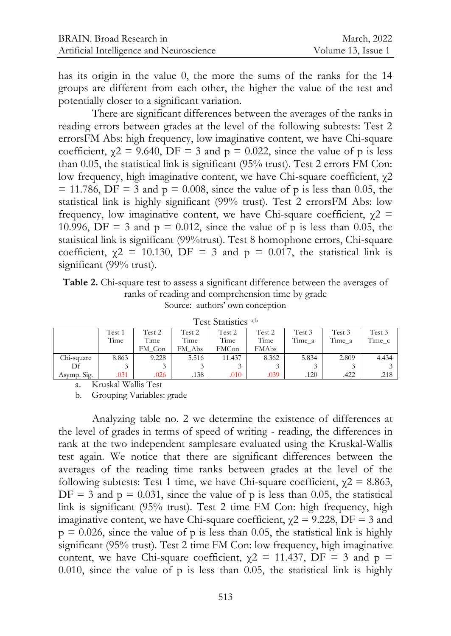has its origin in the value 0, the more the sums of the ranks for the 14 groups are different from each other, the higher the value of the test and potentially closer to a significant variation.

There are significant differences between the averages of the ranks in reading errors between grades at the level of the following subtests: Test 2 errorsFM Abs: high frequency, low imaginative content, we have Chi-square coefficient,  $\gamma$ 2 = 9.640, DF = 3 and p = 0.022, since the value of p is less than 0.05, the statistical link is significant (95% trust). Test 2 errors FM Con: low frequency, high imaginative content, we have Chi-square coefficient, χ2  $= 11.786$ , DF = 3 and p = 0.008, since the value of p is less than 0.05, the statistical link is highly significant (99% trust). Test 2 errorsFM Abs: low frequency, low imaginative content, we have Chi-square coefficient,  $\gamma$ 2 = 10.996, DF = 3 and  $p = 0.012$ , since the value of p is less than 0.05, the statistical link is significant (99%trust). Test 8 homophone errors, Chi-square coefficient,  $\gamma$ 2 = 10.130, DF = 3 and p = 0.017, the statistical link is significant (99% trust).

**Table 2.** Chi-square test to assess a significant difference between the averages of ranks of reading and comprehension time by grade Source: authors' own conception

|             | Test 1<br>Time | Test 2<br>Time<br>FM Con | Test 2<br>Time<br>Abs<br>FМ | Test 2<br>Time<br>FMCon | Test 2<br>Time<br>FMAbs | Test 3<br>Time a | Test 3<br>Time a | Test 3<br>Time c |
|-------------|----------------|--------------------------|-----------------------------|-------------------------|-------------------------|------------------|------------------|------------------|
| Chi-square  | 8.863          | 9.228                    | 5.516                       | 11.437                  | 8.362                   | 5.834            | 2.809            | 4.434            |
| Df          |                |                          | $\mathbf{\hat{z}}$          |                         | $\sim$                  |                  |                  |                  |
| Asymp. Sig. | .031           | .026                     | .138                        | .010                    | .039                    | .120             | .422             | .218             |

Test Statistics a,b

a. Kruskal Wallis Test

b. Grouping Variables: grade

Analyzing table no. 2 we determine the existence of differences at the level of grades in terms of speed of writing - reading, the differences in rank at the two independent samplesare evaluated using the Kruskal-Wallis test again. We notice that there are significant differences between the averages of the reading time ranks between grades at the level of the following subtests: Test 1 time, we have Chi-square coefficient,  $\chi$ 2 = 8.863,  $DF = 3$  and  $p = 0.031$ , since the value of p is less than 0.05, the statistical link is significant (95% trust). Test 2 time FM Con: high frequency, high imaginative content, we have Chi-square coefficient,  $\gamma$ 2 = 9.228, DF = 3 and  $p = 0.026$ , since the value of p is less than 0.05, the statistical link is highly significant (95% trust). Test 2 time FM Con: low frequency, high imaginative content, we have Chi-square coefficient,  $\gamma$ 2 = 11.437, DF = 3 and p = 0.010, since the value of  $p$  is less than 0.05, the statistical link is highly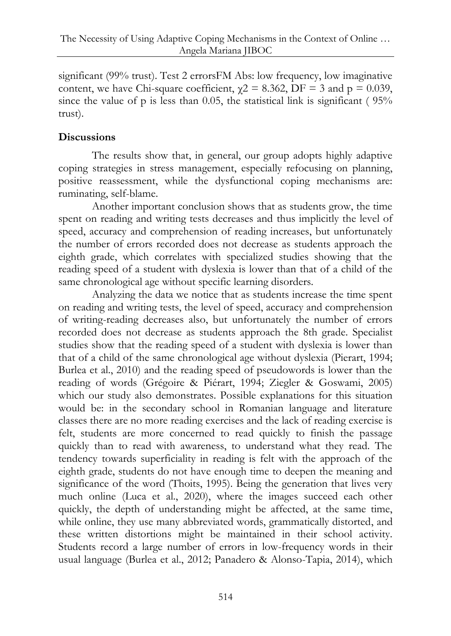significant (99% trust). Test 2 errorsFM Abs: low frequency, low imaginative content, we have Chi-square coefficient,  $\gamma$ 2 = 8.362, DF = 3 and p = 0.039, since the value of p is less than 0.05, the statistical link is significant ( 95% trust).

# **Discussions**

The results show that, in general, our group adopts highly adaptive coping strategies in stress management, especially refocusing on planning, positive reassessment, while the dysfunctional coping mechanisms are: ruminating, self-blame.

Another important conclusion shows that as students grow, the time spent on reading and writing tests decreases and thus implicitly the level of speed, accuracy and comprehension of reading increases, but unfortunately the number of errors recorded does not decrease as students approach the eighth grade, which correlates with specialized studies showing that the reading speed of a student with dyslexia is lower than that of a child of the same chronological age without specific learning disorders.

Analyzing the data we notice that as students increase the time spent on reading and writing tests, the level of speed, accuracy and comprehension of writing-reading decreases also, but unfortunately the number of errors recorded does not decrease as students approach the 8th grade. Specialist studies show that the reading speed of a student with dyslexia is lower than that of a child of the same chronological age without dyslexia (Pierart, 1994; Burlea et al., 2010) and the reading speed of pseudowords is lower than the reading of words (Grégoire & Piérart, 1994; Ziegler & Goswami, 2005) which our study also demonstrates. Possible explanations for this situation would be: in the secondary school in Romanian language and literature classes there are no more reading exercises and the lack of reading exercise is felt, students are more concerned to read quickly to finish the passage quickly than to read with awareness, to understand what they read. The tendency towards superficiality in reading is felt with the approach of the eighth grade, students do not have enough time to deepen the meaning and significance of the word (Thoits, 1995). Being the generation that lives very much online (Luca et al., 2020), where the images succeed each other quickly, the depth of understanding might be affected, at the same time, while online, they use many abbreviated words, grammatically distorted, and these written distortions might be maintained in their school activity. Students record a large number of errors in low-frequency words in their usual language (Burlea et al., 2012; Panadero & Alonso-Tapia, 2014), which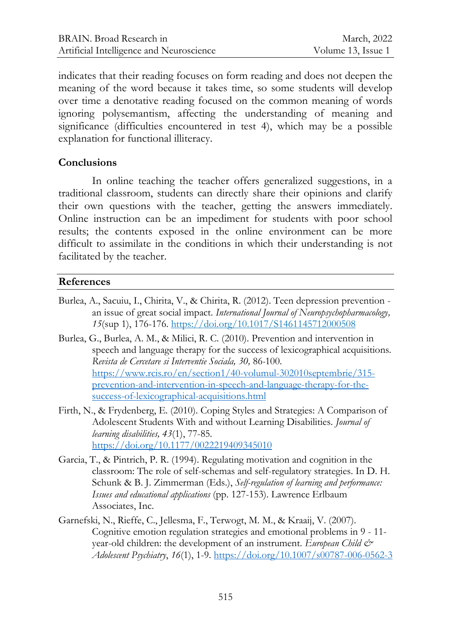indicates that their reading focuses on form reading and does not deepen the meaning of the word because it takes time, so some students will develop over time a denotative reading focused on the common meaning of words ignoring polysemantism, affecting the understanding of meaning and significance (difficulties encountered in test 4), which may be a possible explanation for functional illiteracy.

#### **Conclusions**

In online teaching the teacher offers generalized suggestions, in a traditional classroom, students can directly share their opinions and clarify their own questions with the teacher, getting the answers immediately. Online instruction can be an impediment for students with poor school results; the contents exposed in the online environment can be more difficult to assimilate in the conditions in which their understanding is not facilitated by the teacher.

#### **References**

- Burlea, A., Sacuiu, I., Chirita, V., & Chirita, R. (2012). Teen depression prevention an issue of great social impact. *International Journal of Neuropsychopharmacology, 15*(sup 1), 176-176[. https://doi.org/10.1017/S1461145712000508](https://doi.org/10.1017/S1461145712000508)
- Burlea, G., Burlea, A. M., & Milici, R. C. (2010). Prevention and intervention in speech and language therapy for the success of lexicographical acquisitions*. Revista de Cercetare si Interventie Sociala, 30,* 86*-*100. [https://www.rcis.ro/en/section1/40-volumul-302010septembrie/315](https://www.rcis.ro/en/section1/40-volumul-302010septembrie/315-prevention-and-intervention-in-speech-and-language-therapy-for-the-success-of-lexicographical-acquisitions.html) [prevention-and-intervention-in-speech-and-language-therapy-for-the](https://www.rcis.ro/en/section1/40-volumul-302010septembrie/315-prevention-and-intervention-in-speech-and-language-therapy-for-the-success-of-lexicographical-acquisitions.html)[success-of-lexicographical-acquisitions.html](https://www.rcis.ro/en/section1/40-volumul-302010septembrie/315-prevention-and-intervention-in-speech-and-language-therapy-for-the-success-of-lexicographical-acquisitions.html)
- Firth, N., & Frydenberg, E. (2010). Coping Styles and Strategies: A Comparison of Adolescent Students With and without Learning Disabilities. *Journal of learning disabilities, 43*(1), 77-85*.* <https://doi.org/10.1177/0022219409345010>
- Garcia, T., & Pintrich, P. R. (1994). Regulating motivation and cognition in the classroom: The role of self-schemas and self-regulatory strategies. In D. H. Schunk & B. J. Zimmerman (Eds.), *Self-regulation of learning and performance: Issues and educational applications* (pp. 127-153). Lawrence Erlbaum Associates, Inc.
- Garnefski, N., Rieffe, C., Jellesma, F., Terwogt, M. M., & Kraaij, V. (2007). Cognitive emotion regulation strategies and emotional problems in 9 - 11 year-old children: the development of an instrument. *European Child & Adolescent Psychiatry*, *16*(1), 1-9.<https://doi.org/10.1007/s00787-006-0562-3>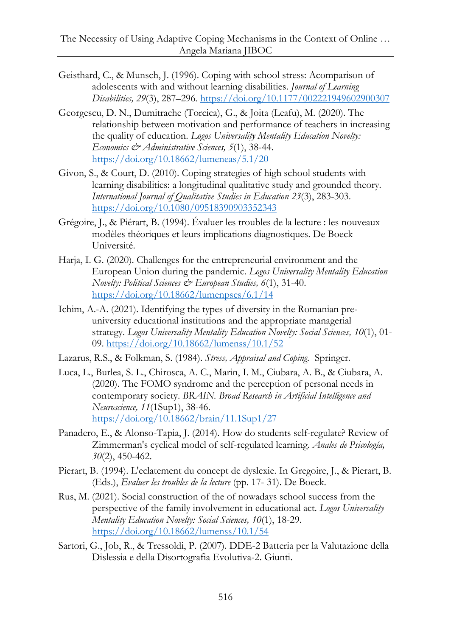- Geisthard, C., & Munsch, J. (1996). Coping with school stress: Acomparison of adolescents with and without learning disabilities. *Journal of Learning Disabilities, 29*(3), 287–296*.* <https://doi.org/10.1177/002221949602900307>
- Georgescu, D. N., Dumitrache (Torcica), G., & Joita (Leafu), M. (2020). The relationship between motivation and performance of teachers in increasing the quality of education. *Logos Universality Mentality Education Novelty: Economics & Administrative Sciences, 5*(1), 38-44. <https://doi.org/10.18662/lumeneas/5.1/20>
- Givon, S., & Court, D. (2010). Coping strategies of high school students with learning disabilities: a longitudinal qualitative study and grounded theory*. International Journal of Qualitative Studies in Education 23*(3), 283-303. <https://doi.org/10.1080/09518390903352343>
- Grégoire, J., & Piérart, B. (1994). Évaluer les troubles de la lecture : les nouveaux modèles théoriques et leurs implications diagnostiques. De Boeck Université.
- Harja, I. G. (2020). Challenges for the entrepreneurial environment and the European Union during the pandemic. *Logos Universality Mentality Education Novelty: Political Sciences & European Studies, 6*(1), 31-40. <https://doi.org/10.18662/lumenpses/6.1/14>
- Ichim, A.-A. (2021). Identifying the types of diversity in the Romanian preuniversity educational institutions and the appropriate managerial strategy. *Logos Universality Mentality Education Novelty: Social Sciences, 10*(1), 01- 09.<https://doi.org/10.18662/lumenss/10.1/52>
- Lazarus, R.S., & Folkman, S. (1984). *Stress, Appraisal and Coping.* Springer.
- Luca, L., Burlea, S. L., Chirosca, A. C., Marin, I. M., Ciubara, A. B., & Ciubara, A. (2020). The FOMO syndrome and the perception of personal needs in contemporary society. *BRAIN. Broad Research in Artificial Intelligence and Neuroscience, 11*(1Sup1), 38-46. <https://doi.org/10.18662/brain/11.1Sup1/27>
- Panadero, E., & Alonso-Tapia, J. (2014). How do students self-regulate? Review of Zimmerman's cyclical model of self-regulated learning. *Anales de Psicología, 30*(2), 450-462.
- Pierart, B. (1994). L'eclatement du concept de dyslexie. In Gregoire, J., & Pierart, B. (Eds.), *Evaluer les troubles de la lecture* (pp. 17- 31). De Boeck.
- Rus, M. (2021). Social construction of the of nowadays school success from the perspective of the family involvement in educational act. *Logos Universality Mentality Education Novelty: Social Sciences, 10*(1), 18-29. <https://doi.org/10.18662/lumenss/10.1/54>
- Sartori, G., Job, R., & Tressoldi, P. (2007). DDE-2 Batteria per la Valutazione della Dislessia e della Disortografia Evolutiva-2. Giunti.